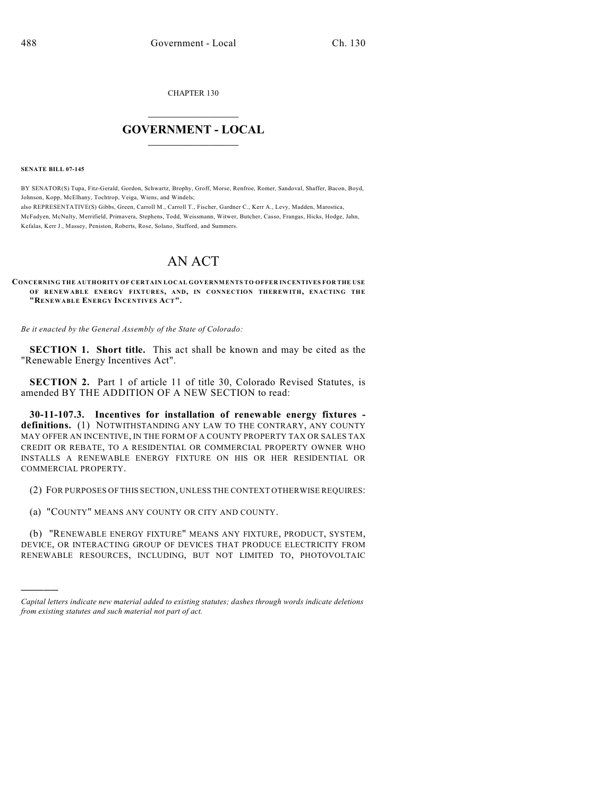CHAPTER 130

## $\overline{\phantom{a}}$  . The set of the set of the set of the set of the set of the set of the set of the set of the set of the set of the set of the set of the set of the set of the set of the set of the set of the set of the set o **GOVERNMENT - LOCAL**  $\_$

**SENATE BILL 07-145**

)))))

BY SENATOR(S) Tupa, Fitz-Gerald, Gordon, Schwartz, Brophy, Groff, Morse, Renfroe, Romer, Sandoval, Shaffer, Bacon, Boyd, Johnson, Kopp, McElhany, Tochtrop, Veiga, Wiens, and Windels; also REPRESENTATIVE(S) Gibbs, Green, Carroll M., Carroll T., Fischer, Gardner C., Kerr A., Levy, Madden, Marostica,

McFadyen, McNulty, Merrifield, Primavera, Stephens, Todd, Weissmann, Witwer, Butcher, Casso, Frangas, Hicks, Hodge, Jahn, Kefalas, Kerr J., Massey, Peniston, Roberts, Rose, Solano, Stafford, and Summers.

## AN ACT

**CONCERNING THE AUTHORITY OF CERTAIN LOCAL GOVERNMENTS TO OFFER INCENTIVES FOR THE USE OF RENEWABLE ENERGY FIXTURES, AND, IN CONNECTION THEREWITH, ENACTING THE "RENEWABLE ENERGY INCENTIVES ACT".**

*Be it enacted by the General Assembly of the State of Colorado:*

**SECTION 1. Short title.** This act shall be known and may be cited as the "Renewable Energy Incentives Act".

**SECTION 2.** Part 1 of article 11 of title 30, Colorado Revised Statutes, is amended BY THE ADDITION OF A NEW SECTION to read:

**30-11-107.3. Incentives for installation of renewable energy fixtures definitions.** (1) NOTWITHSTANDING ANY LAW TO THE CONTRARY, ANY COUNTY MAY OFFER AN INCENTIVE, IN THE FORM OF A COUNTY PROPERTY TAX OR SALES TAX CREDIT OR REBATE, TO A RESIDENTIAL OR COMMERCIAL PROPERTY OWNER WHO INSTALLS A RENEWABLE ENERGY FIXTURE ON HIS OR HER RESIDENTIAL OR COMMERCIAL PROPERTY.

(2) FOR PURPOSES OF THIS SECTION, UNLESS THE CONTEXT OTHERWISE REQUIRES:

(a) "COUNTY" MEANS ANY COUNTY OR CITY AND COUNTY.

(b) "RENEWABLE ENERGY FIXTURE" MEANS ANY FIXTURE, PRODUCT, SYSTEM, DEVICE, OR INTERACTING GROUP OF DEVICES THAT PRODUCE ELECTRICITY FROM RENEWABLE RESOURCES, INCLUDING, BUT NOT LIMITED TO, PHOTOVOLTAIC

*Capital letters indicate new material added to existing statutes; dashes through words indicate deletions from existing statutes and such material not part of act.*